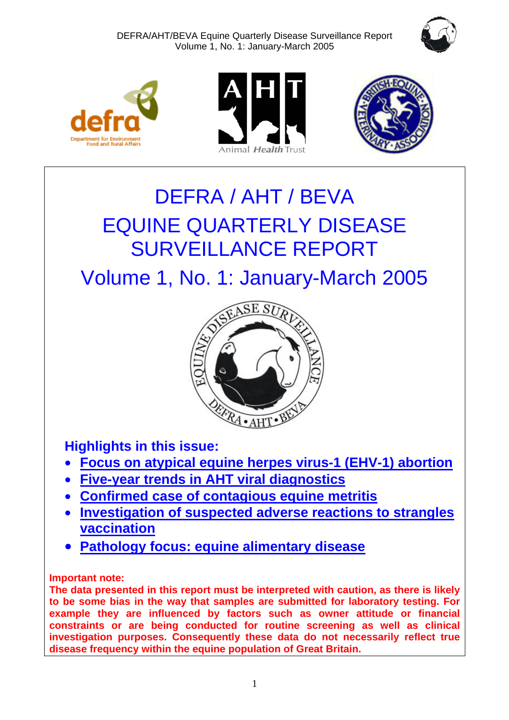DEFRA/AHT/BEVA Equine Quarterly Disease Surveillance Report Volume 1, No. 1: January-March 2005









# DEFRA / AHT / BEVA EQUINE QUARTERLY DISEASE SURVEILLANCE REPORT

Volume 1, No. 1: January-March 2005



**Highlights in this issue:** 

- **[Focus on atypical equine herpes virus-1 \(EHV-1\) abortion](#page-4-0)**
- **[Five-year trends in AHT viral diagnostics](#page-5-0)**
- **[Confirmed case of contagious equine metritis](#page-6-0)**
- **[Investigation of suspected adverse reactions](#page-7-0) to strangles vaccination**
- **[Pathology focus: equine alimentary disease](#page-12-0)**

# **Important note:**

**The data presented in this report must be interpreted with caution, as there is likely to be some bias in the way that samples are submitted for laboratory testing. For example they are influenced by factors such as owner attitude or financial constraints or are being conducted for routine screening as well as clinical investigation purposes. Consequently these data do not necessarily reflect true disease frequency within the equine population of Great Britain.**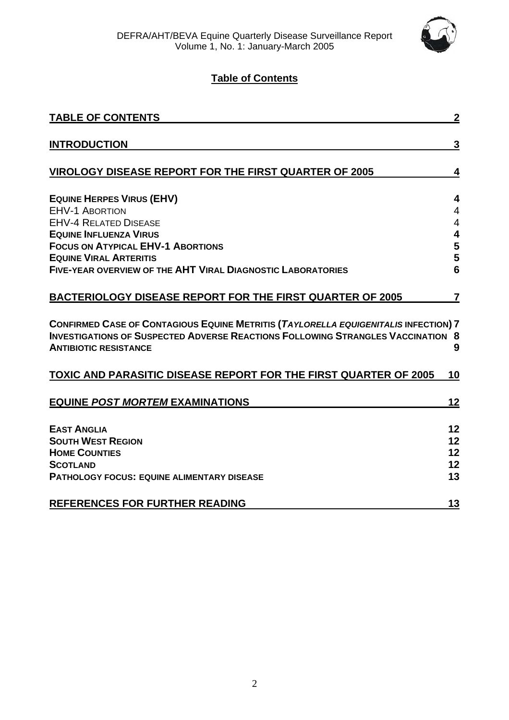

# **Table of Contents**

| <b>TABLE OF CONTENTS</b>                                                                                                                                                                                      | $\boldsymbol{2}$ |
|---------------------------------------------------------------------------------------------------------------------------------------------------------------------------------------------------------------|------------------|
| <b>INTRODUCTION</b>                                                                                                                                                                                           | $\overline{3}$   |
| <b>VIROLOGY DISEASE REPORT FOR THE FIRST QUARTER OF 2005</b>                                                                                                                                                  | 4                |
| <b>EQUINE HERPES VIRUS (EHV)</b>                                                                                                                                                                              | 4                |
| <b>EHV-1 ABORTION</b>                                                                                                                                                                                         | $\overline{4}$   |
| <b>EHV-4 RELATED DISEASE</b>                                                                                                                                                                                  | 4                |
| <b>EQUINE INFLUENZA VIRUS</b>                                                                                                                                                                                 | 4                |
| <b>FOCUS ON ATYPICAL EHV-1 ABORTIONS</b>                                                                                                                                                                      | 5                |
| <b>EQUINE VIRAL ARTERITIS</b><br><b>FIVE-YEAR OVERVIEW OF THE AHT VIRAL DIAGNOSTIC LABORATORIES</b>                                                                                                           | 5<br>6           |
| <b>BACTERIOLOGY DISEASE REPORT FOR THE FIRST QUARTER OF 2005</b>                                                                                                                                              | 7                |
| CONFIRMED CASE OF CONTAGIOUS EQUINE METRITIS (TAYLORELLA EQUIGENITALIS INFECTION) 7<br><b>INVESTIGATIONS OF SUSPECTED ADVERSE REACTIONS FOLLOWING STRANGLES VACCINATION 8</b><br><b>ANTIBIOTIC RESISTANCE</b> | 9                |
| TOXIC AND PARASITIC DISEASE REPORT FOR THE FIRST QUARTER OF 2005                                                                                                                                              | 10               |
| <b>EQUINE POST MORTEM EXAMINATIONS</b>                                                                                                                                                                        | 12               |
| <b>EAST ANGLIA</b>                                                                                                                                                                                            | 12               |
| <b>SOUTH WEST REGION</b>                                                                                                                                                                                      | 12               |
| <b>HOME COUNTIES</b>                                                                                                                                                                                          | 12               |
| <b>SCOTLAND</b>                                                                                                                                                                                               | 12               |
| <b>PATHOLOGY FOCUS: EQUINE ALIMENTARY DISEASE</b>                                                                                                                                                             | 13               |
| <b>REFERENCES FOR FURTHER READING</b>                                                                                                                                                                         | 13               |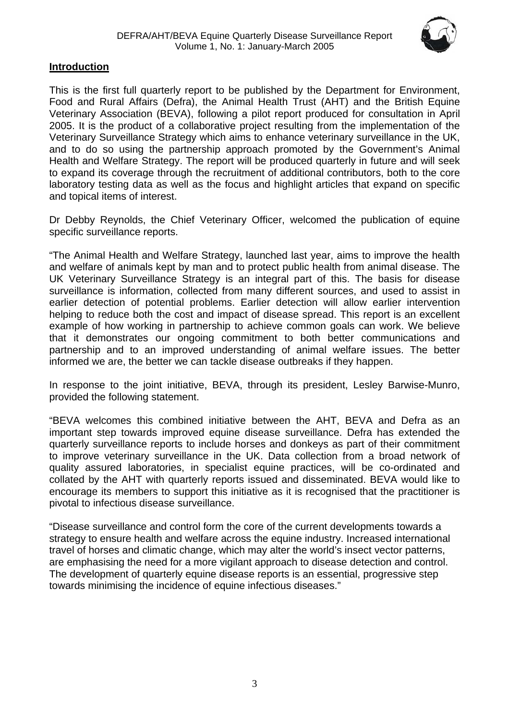

#### <span id="page-2-0"></span>**Introduction**

This is the first full quarterly report to be published by the Department for Environment, Food and Rural Affairs (Defra), the Animal Health Trust (AHT) and the British Equine Veterinary Association (BEVA), following a pilot report produced for consultation in April 2005. It is the product of a collaborative project resulting from the implementation of the Veterinary Surveillance Strategy which aims to enhance veterinary surveillance in the UK, and to do so using the partnership approach promoted by the Government's Animal Health and Welfare Strategy. The report will be produced quarterly in future and will seek to expand its coverage through the recruitment of additional contributors, both to the core laboratory testing data as well as the focus and highlight articles that expand on specific and topical items of interest.

Dr Debby Reynolds, the Chief Veterinary Officer, welcomed the publication of equine specific surveillance reports.

"The Animal Health and Welfare Strategy, launched last year, aims to improve the health and welfare of animals kept by man and to protect public health from animal disease. The UK Veterinary Surveillance Strategy is an integral part of this. The basis for disease surveillance is information, collected from many different sources, and used to assist in earlier detection of potential problems. Earlier detection will allow earlier intervention helping to reduce both the cost and impact of disease spread. This report is an excellent example of how working in partnership to achieve common goals can work. We believe that it demonstrates our ongoing commitment to both better communications and partnership and to an improved understanding of animal welfare issues. The better informed we are, the better we can tackle disease outbreaks if they happen.

In response to the joint initiative, BEVA, through its president, Lesley Barwise-Munro, provided the following statement.

"BEVA welcomes this combined initiative between the AHT, BEVA and Defra as an important step towards improved equine disease surveillance. Defra has extended the quarterly surveillance reports to include horses and donkeys as part of their commitment to improve veterinary surveillance in the UK. Data collection from a broad network of quality assured laboratories, in specialist equine practices, will be co-ordinated and collated by the AHT with quarterly reports issued and disseminated. BEVA would like to encourage its members to support this initiative as it is recognised that the practitioner is pivotal to infectious disease surveillance.

"Disease surveillance and control form the core of the current developments towards a strategy to ensure health and welfare across the equine industry. Increased international travel of horses and climatic change, which may alter the world's insect vector patterns, are emphasising the need for a more vigilant approach to disease detection and control. The development of quarterly equine disease reports is an essential, progressive step towards minimising the incidence of equine infectious diseases."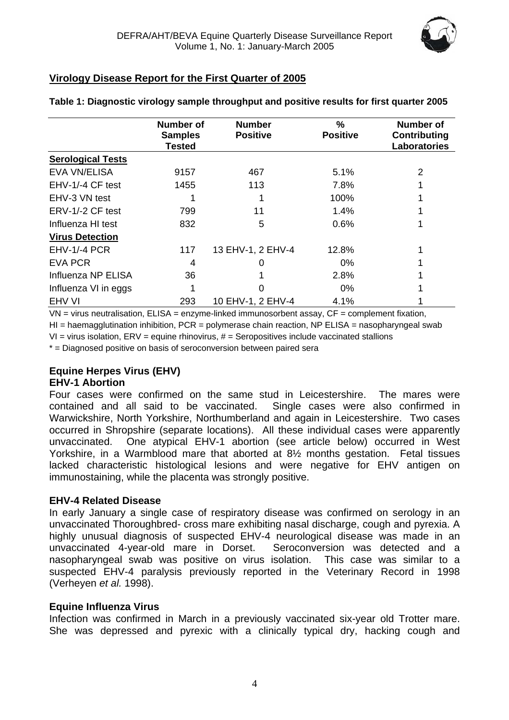

### <span id="page-3-0"></span>**Virology Disease Report for the First Quarter of 2005**

|                          | <b>Number of</b>                | <b>Number</b>     | %               | <b>Number of</b>                           |  |
|--------------------------|---------------------------------|-------------------|-----------------|--------------------------------------------|--|
|                          | <b>Samples</b><br><b>Tested</b> | <b>Positive</b>   | <b>Positive</b> | <b>Contributing</b><br><b>Laboratories</b> |  |
| <b>Serological Tests</b> |                                 |                   |                 |                                            |  |
| <b>EVA VN/ELISA</b>      | 9157                            | 467               | 5.1%            | $\overline{2}$                             |  |
| EHV-1/-4 CF test         | 1455                            | 113               | 7.8%            |                                            |  |
| EHV-3 VN test            |                                 |                   | 100%            |                                            |  |
| ERV-1/-2 CF test         | 799                             | 11                | 1.4%            |                                            |  |
| Influenza HI test        | 832                             | 5                 | 0.6%            |                                            |  |
| <b>Virus Detection</b>   |                                 |                   |                 |                                            |  |
| EHV-1/-4 PCR             | 117                             | 13 EHV-1, 2 EHV-4 | 12.8%           |                                            |  |
| <b>EVA PCR</b>           | 4                               |                   | $0\%$           |                                            |  |
| Influenza NP ELISA       | 36                              |                   | 2.8%            |                                            |  |
| Influenza VI in eggs     |                                 |                   | $0\%$           |                                            |  |
| EHV VI                   | 293                             | 10 EHV-1, 2 EHV-4 | 4.1%            |                                            |  |

#### **Table 1: Diagnostic virology sample throughput and positive results for first quarter 2005**

 $VN =$  virus neutralisation,  $ELISA =$  enzyme-linked immunosorbent assay,  $CF =$  complement fixation,

 $H =$  haemagglutination inhibition, PCR = polymerase chain reaction, NP ELISA = nasopharyngeal swab

 $VI =$  virus isolation,  $ERV =$  equine rhinovirus,  $#$  = Seropositives include vaccinated stallions

\* = Diagnosed positive on basis of seroconversion between paired sera

#### **Equine Herpes Virus (EHV)**

#### **EHV-1 Abortion**

Four cases were confirmed on the same stud in Leicestershire. The mares were contained and all said to be vaccinated. Single cases were also confirmed in Warwickshire, North Yorkshire, Northumberland and again in Leicestershire. Two cases occurred in Shropshire (separate locations). All these individual cases were apparently unvaccinated. One atypical EHV-1 abortion (see article below) occurred in West Yorkshire, in a Warmblood mare that aborted at 8½ months gestation. Fetal tissues lacked characteristic histological lesions and were negative for EHV antigen on immunostaining, while the placenta was strongly positive.

#### **EHV-4 Related Disease**

In early January a single case of respiratory disease was confirmed on serology in an unvaccinated Thoroughbred- cross mare exhibiting nasal discharge, cough and pyrexia. A highly unusual diagnosis of suspected EHV-4 neurological disease was made in an unvaccinated 4-year-old mare in Dorset. Seroconversion was detected and a nasopharyngeal swab was positive on virus isolation. This case was similar to a suspected EHV-4 paralysis previously reported in the Veterinary Record in 1998 (Verheyen *et al.* 1998).

#### **Equine Influenza Virus**

Infection was confirmed in March in a previously vaccinated six-year old Trotter mare. She was depressed and pyrexic with a clinically typical dry, hacking cough and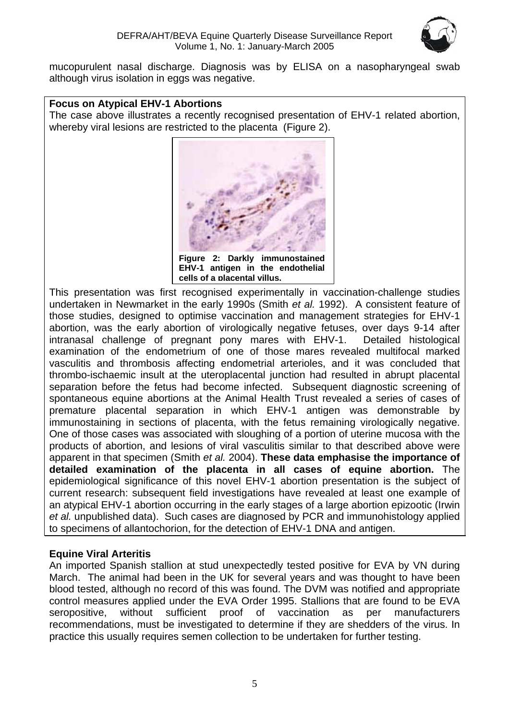

<span id="page-4-0"></span>mucopurulent nasal discharge. Diagnosis was by ELISA on a nasopharyngeal swab although virus isolation in eggs was negative.

#### **Focus on Atypical EHV-1 Abortions**

The case above illustrates a recently recognised presentation of EHV-1 related abortion, whereby viral lesions are restricted to the placenta (Figure 2).



This presentation was first recognised experimentally in vaccination-challenge studies undertaken in Newmarket in the early 1990s (Smith *et al.* 1992). A consistent feature of those studies, designed to optimise vaccination and management strategies for EHV-1 abortion, was the early abortion of virologically negative fetuses, over days 9-14 after intranasal challenge of pregnant pony mares with EHV-1. Detailed histological examination of the endometrium of one of those mares revealed multifocal marked vasculitis and thrombosis affecting endometrial arterioles, and it was concluded that thrombo-ischaemic insult at the uteroplacental junction had resulted in abrupt placental separation before the fetus had become infected. Subsequent diagnostic screening of spontaneous equine abortions at the Animal Health Trust revealed a series of cases of premature placental separation in which EHV-1 antigen was demonstrable by immunostaining in sections of placenta, with the fetus remaining virologically negative. One of those cases was associated with sloughing of a portion of uterine mucosa with the products of abortion, and lesions of viral vasculitis similar to that described above were apparent in that specimen (Smith *et al.* 2004). **These data emphasise the importance of detailed examination of the placenta in all cases of equine abortion.** The epidemiological significance of this novel EHV-1 abortion presentation is the subject of current research: subsequent field investigations have revealed at least one example of an atypical EHV-1 abortion occurring in the early stages of a large abortion epizootic (Irwin *et al.* unpublished data). Such cases are diagnosed by PCR and immunohistology applied to specimens of allantochorion, for the detection of EHV-1 DNA and antigen.

#### **Equine Viral Arteritis**

An imported Spanish stallion at stud unexpectedly tested positive for EVA by VN during March. The animal had been in the UK for several years and was thought to have been blood tested, although no record of this was found. The DVM was notified and appropriate control measures applied under the EVA Order 1995. Stallions that are found to be EVA seropositive, without sufficient proof of vaccination as per manufacturers recommendations, must be investigated to determine if they are shedders of the virus. In practice this usually requires semen collection to be undertaken for further testing.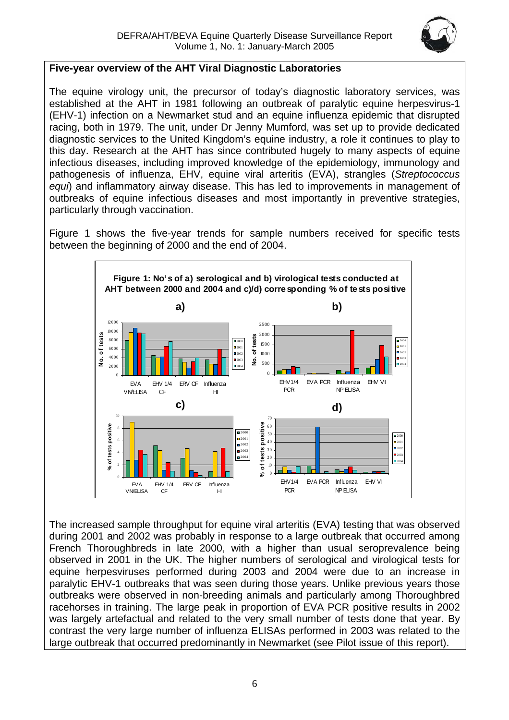

#### <span id="page-5-0"></span>**Five-year overview of the AHT Viral Diagnostic Laboratories**

The equine virology unit, the precursor of today's diagnostic laboratory services, was established at the AHT in 1981 following an outbreak of paralytic equine herpesvirus-1 (EHV-1) infection on a Newmarket stud and an equine influenza epidemic that disrupted racing, both in 1979. The unit, under Dr Jenny Mumford, was set up to provide dedicated diagnostic services to the United Kingdom's equine industry, a role it continues to play to this day. Research at the AHT has since contributed hugely to many aspects of equine infectious diseases, including improved knowledge of the epidemiology, immunology and pathogenesis of influenza, EHV, equine viral arteritis (EVA), strangles (*Streptococcus equi*) and inflammatory airway disease. This has led to improvements in management of outbreaks of equine infectious diseases and most importantly in preventive strategies, particularly through vaccination.

Figure 1 shows the five-year trends for sample numbers received for specific tests between the beginning of 2000 and the end of 2004.



The increased sample throughput for equine viral arteritis (EVA) testing that was observed during 2001 and 2002 was probably in response to a large outbreak that occurred among French Thoroughbreds in late 2000, with a higher than usual seroprevalence being observed in 2001 in the UK. The higher numbers of serological and virological tests for equine herpesviruses performed during 2003 and 2004 were due to an increase in paralytic EHV-1 outbreaks that was seen during those years. Unlike previous years those outbreaks were observed in non-breeding animals and particularly among Thoroughbred racehorses in training. The large peak in proportion of EVA PCR positive results in 2002 was largely artefactual and related to the very small number of tests done that year. By contrast the very large number of influenza ELISAs performed in 2003 was related to the large outbreak that occurred predominantly in Newmarket (see Pilot issue of this report).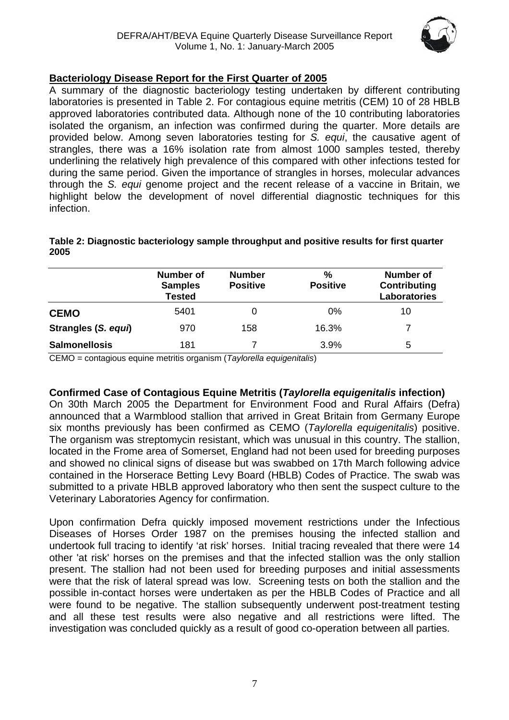

#### <span id="page-6-0"></span>**Bacteriology Disease Report for the First Quarter of 2005**

A summary of the diagnostic bacteriology testing undertaken by different contributing laboratories is presented in Table 2. For contagious equine metritis (CEM) 10 of 28 HBLB approved laboratories contributed data. Although none of the 10 contributing laboratories isolated the organism, an infection was confirmed during the quarter. More details are provided below. Among seven laboratories testing for *S. equi*, the causative agent of strangles, there was a 16% isolation rate from almost 1000 samples tested, thereby underlining the relatively high prevalence of this compared with other infections tested for during the same period. Given the importance of strangles in horses, molecular advances through the *S. equi* genome project and the recent release of a vaccine in Britain, we highlight below the development of novel differential diagnostic techniques for this infection.

|                      | <b>Number of</b><br><b>Samples</b><br><b>Tested</b> | <b>Number</b><br><b>Positive</b> | %<br><b>Positive</b> | Number of<br>Contributing<br>Laboratories |  |
|----------------------|-----------------------------------------------------|----------------------------------|----------------------|-------------------------------------------|--|
| <b>CEMO</b>          | 5401                                                |                                  | $0\%$                | 10                                        |  |
| Strangles (S. equi)  | 970                                                 | 158                              | 16.3%                |                                           |  |
| <b>Salmonellosis</b> | 181                                                 |                                  | 3.9%                 | 5                                         |  |

#### **Table 2: Diagnostic bacteriology sample throughput and positive results for first quarter 2005**

CEMO = contagious equine metritis organism (*Taylorella equigenitalis*)

#### **Confirmed Case of Contagious Equine Metritis (***Taylorella equigenitalis* **infection)**

On 30th March 2005 the Department for Environment Food and Rural Affairs (Defra) announced that a Warmblood stallion that arrived in Great Britain from Germany Europe six months previously has been confirmed as CEMO (*Taylorella equigenitalis*) positive. The organism was streptomycin resistant, which was unusual in this country. The stallion, located in the Frome area of Somerset, England had not been used for breeding purposes and showed no clinical signs of disease but was swabbed on 17th March following advice contained in the Horserace Betting Levy Board (HBLB) Codes of Practice. The swab was submitted to a private HBLB approved laboratory who then sent the suspect culture to the Veterinary Laboratories Agency for confirmation.

Upon confirmation Defra quickly imposed movement restrictions under the Infectious Diseases of Horses Order 1987 on the premises housing the infected stallion and undertook full tracing to identify 'at risk' horses. Initial tracing revealed that there were 14 other 'at risk' horses on the premises and that the infected stallion was the only stallion present. The stallion had not been used for breeding purposes and initial assessments were that the risk of lateral spread was low. Screening tests on both the stallion and the possible in-contact horses were undertaken as per the HBLB Codes of Practice and all were found to be negative. The stallion subsequently underwent post-treatment testing and all these test results were also negative and all restrictions were lifted. The investigation was concluded quickly as a result of good co-operation between all parties.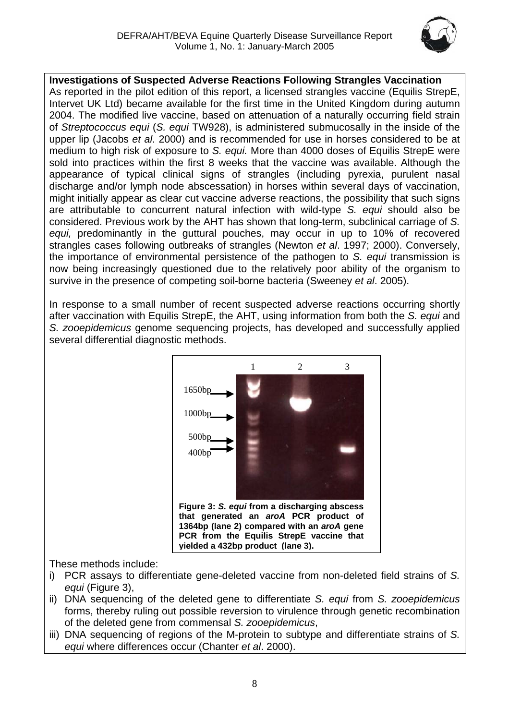

<span id="page-7-0"></span>**Investigations of Suspected Adverse Reactions Following Strangles Vaccination** As reported in the pilot edition of this report, a licensed strangles vaccine (Equilis StrepE, Intervet UK Ltd) became available for the first time in the United Kingdom during autumn 2004. The modified live vaccine, based on attenuation of a naturally occurring field strain of *Streptococcus equi* (*S. equi* TW928), is administered submucosally in the inside of the upper lip (Jacobs *et al*. 2000) and is recommended for use in horses considered to be at medium to high risk of exposure to *S. equi.* More than 4000 doses of Equilis StrepE were sold into practices within the first 8 weeks that the vaccine was available. Although the appearance of typical clinical signs of strangles (including pyrexia, purulent nasal discharge and/or lymph node abscessation) in horses within several days of vaccination, might initially appear as clear cut vaccine adverse reactions, the possibility that such signs are attributable to concurrent natural infection with wild-type *S. equi* should also be considered. Previous work by the AHT has shown that long-term, subclinical carriage of *S. equi,* predominantly in the guttural pouches, may occur in up to 10% of recovered strangles cases following outbreaks of strangles (Newton *et al*. 1997; 2000). Conversely, the importance of environmental persistence of the pathogen to *S. equi* transmission is now being increasingly questioned due to the relatively poor ability of the organism to survive in the presence of competing soil-borne bacteria (Sweeney *et al*. 2005).

In response to a small number of recent suspected adverse reactions occurring shortly after vaccination with Equilis StrepE, the AHT, using information from both the *S. equi* and *S. zooepidemicus* genome sequencing projects, has developed and successfully applied several differential diagnostic methods.



These methods include:

- i) PCR assays to differentiate gene-deleted vaccine from non-deleted field strains of *S. equi* (Figure 3),
- ii) DNA sequencing of the deleted gene to differentiate *S. equi* from *S. zooepidemicus* forms, thereby ruling out possible reversion to virulence through genetic recombination of the deleted gene from commensal *S. zooepidemicus*,
- iii) DNA sequencing of regions of the M-protein to subtype and differentiate strains of *S. equi* where differences occur (Chanter *et al*. 2000).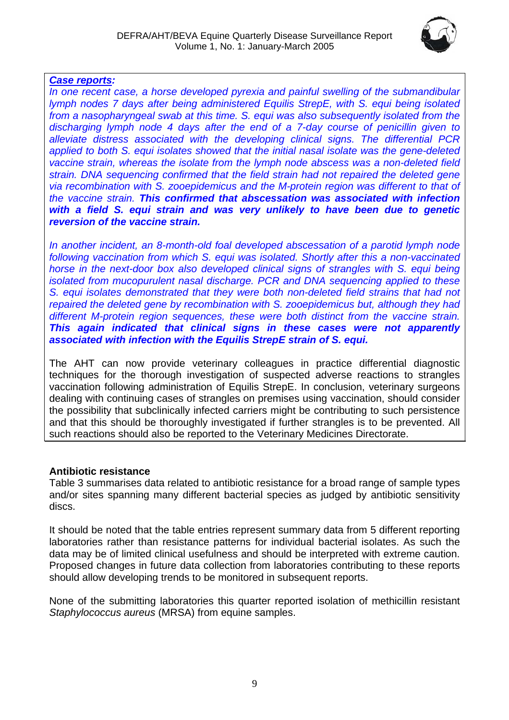

#### <span id="page-8-0"></span>*Case reports:*

*In one recent case, a horse developed pyrexia and painful swelling of the submandibular lymph nodes 7 days after being administered Equilis StrepE, with S. equi being isolated from a nasopharyngeal swab at this time. S. equi was also subsequently isolated from the discharging lymph node 4 days after the end of a 7-day course of penicillin given to alleviate distress associated with the developing clinical signs. The differential PCR applied to both S. equi isolates showed that the initial nasal isolate was the gene-deleted vaccine strain, whereas the isolate from the lymph node abscess was a non-deleted field strain. DNA sequencing confirmed that the field strain had not repaired the deleted gene via recombination with S. zooepidemicus and the M-protein region was different to that of the vaccine strain. This confirmed that abscessation was associated with infection*  with a field S. equi strain and was very unlikely to have been due to genetic *reversion of the vaccine strain.*

*In another incident, an 8-month-old foal developed abscessation of a parotid lymph node following vaccination from which S. equi was isolated. Shortly after this a non-vaccinated horse in the next-door box also developed clinical signs of strangles with S. equi being isolated from mucopurulent nasal discharge. PCR and DNA sequencing applied to these S. equi isolates demonstrated that they were both non-deleted field strains that had not repaired the deleted gene by recombination with S. zooepidemicus but, although they had different M-protein region sequences, these were both distinct from the vaccine strain. This again indicated that clinical signs in these cases were not apparently associated with infection with the Equilis StrepE strain of S. equi.* 

The AHT can now provide veterinary colleagues in practice differential diagnostic techniques for the thorough investigation of suspected adverse reactions to strangles vaccination following administration of Equilis StrepE. In conclusion, veterinary surgeons dealing with continuing cases of strangles on premises using vaccination, should consider the possibility that subclinically infected carriers might be contributing to such persistence and that this should be thoroughly investigated if further strangles is to be prevented. All such reactions should also be reported to the Veterinary Medicines Directorate.

#### **Antibiotic resistance**

Table 3 summarises data related to antibiotic resistance for a broad range of sample types and/or sites spanning many different bacterial species as judged by antibiotic sensitivity discs.

It should be noted that the table entries represent summary data from 5 different reporting laboratories rather than resistance patterns for individual bacterial isolates. As such the data may be of limited clinical usefulness and should be interpreted with extreme caution. Proposed changes in future data collection from laboratories contributing to these reports should allow developing trends to be monitored in subsequent reports.

None of the submitting laboratories this quarter reported isolation of methicillin resistant *Staphylococcus aureus* (MRSA) from equine samples.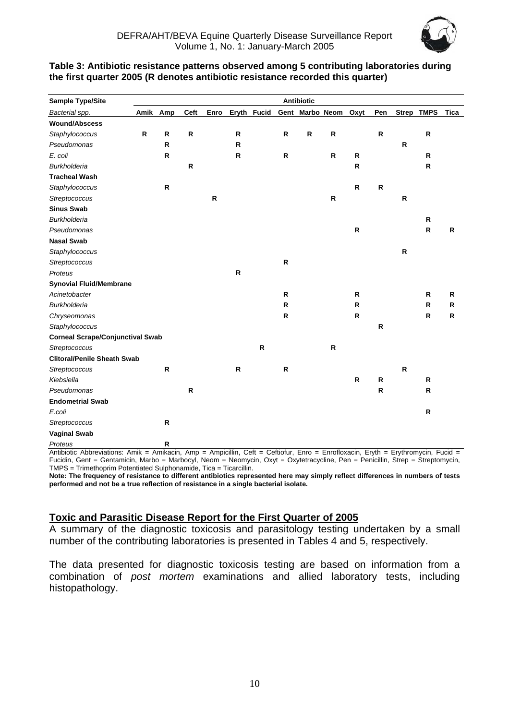

#### <span id="page-9-0"></span>**Table 3: Antibiotic resistance patterns observed among 5 contributing laboratories during the first quarter 2005 (R denotes antibiotic resistance recorded this quarter)**

| <b>Sample Type/Site</b>                 |              |              |              |           |              |             |              | <b>Antibiotic</b>    |           |              |             |           |              |              |
|-----------------------------------------|--------------|--------------|--------------|-----------|--------------|-------------|--------------|----------------------|-----------|--------------|-------------|-----------|--------------|--------------|
| Bacterial spp.                          | Amik         | Amp          | Ceft         | Enro      |              | Eryth Fucid |              | Gent Marbo Neom Oxyt |           |              | Pen         |           | Strep TMPS   | <b>Tica</b>  |
| <b>Wound/Abscess</b>                    |              |              |              |           |              |             |              |                      |           |              |             |           |              |              |
| Staphylococcus                          | $\mathsf{R}$ | ${\sf R}$    | ${\sf R}$    |           | $\mathsf{R}$ |             | $\mathbf R$  | ${\sf R}$            | ${\sf R}$ |              | $\mathbf R$ |           | ${\sf R}$    |              |
| Pseudomonas                             |              | $\mathsf{R}$ |              |           | $\mathsf R$  |             |              |                      |           |              |             | ${\sf R}$ |              |              |
| E. coli                                 |              | $\mathsf{R}$ |              |           | R            |             | $\mathsf{R}$ |                      | R         | R            |             |           | R            |              |
| <b>Burkholderia</b>                     |              |              | $\mathsf{R}$ |           |              |             |              |                      |           | R            |             |           | ${\sf R}$    |              |
| <b>Tracheal Wash</b>                    |              |              |              |           |              |             |              |                      |           |              |             |           |              |              |
| Staphylococcus                          |              | $\mathsf{R}$ |              |           |              |             |              |                      |           | $\mathsf{R}$ | $\mathbf R$ |           |              |              |
| Streptococcus                           |              |              |              | ${\sf R}$ |              |             |              |                      | R         |              |             | R         |              |              |
| <b>Sinus Swab</b>                       |              |              |              |           |              |             |              |                      |           |              |             |           |              |              |
| <b>Burkholderia</b>                     |              |              |              |           |              |             |              |                      |           |              |             |           | R            |              |
| Pseudomonas                             |              |              |              |           |              |             |              |                      |           | R            |             |           | ${\sf R}$    | R            |
| <b>Nasal Swab</b>                       |              |              |              |           |              |             |              |                      |           |              |             |           |              |              |
| Staphylococcus                          |              |              |              |           |              |             |              |                      |           |              |             | R         |              |              |
| Streptococcus                           |              |              |              |           |              |             | ${\sf R}$    |                      |           |              |             |           |              |              |
| Proteus                                 |              |              |              |           | R            |             |              |                      |           |              |             |           |              |              |
| <b>Synovial Fluid/Membrane</b>          |              |              |              |           |              |             |              |                      |           |              |             |           |              |              |
| Acinetobacter                           |              |              |              |           |              |             | $\mathsf{R}$ |                      |           | R            |             |           | R            | R            |
| <b>Burkholderia</b>                     |              |              |              |           |              |             | $\mathsf{R}$ |                      |           | R            |             |           | ${\sf R}$    | R            |
| Chryseomonas                            |              |              |              |           |              |             | $\mathbf R$  |                      |           | $\mathsf{R}$ |             |           | $\mathsf{R}$ | $\mathsf{R}$ |
| Staphylococcus                          |              |              |              |           |              |             |              |                      |           |              | R           |           |              |              |
| <b>Corneal Scrape/Conjunctival Swab</b> |              |              |              |           |              |             |              |                      |           |              |             |           |              |              |
| Streptococcus                           |              |              |              |           |              | ${\sf R}$   |              |                      | ${\sf R}$ |              |             |           |              |              |
| <b>Clitoral/Penile Sheath Swab</b>      |              |              |              |           |              |             |              |                      |           |              |             |           |              |              |
| Streptococcus                           |              | $\mathsf{R}$ |              |           | $\mathsf R$  |             | $\mathbf R$  |                      |           |              |             | R         |              |              |
| Klebsiella                              |              |              |              |           |              |             |              |                      |           | $\mathsf{R}$ | ${\sf R}$   |           | R            |              |
| Pseudomonas                             |              |              | ${\sf R}$    |           |              |             |              |                      |           |              | ${\sf R}$   |           | $\mathsf{R}$ |              |
| <b>Endometrial Swab</b>                 |              |              |              |           |              |             |              |                      |           |              |             |           |              |              |
| E.coli                                  |              |              |              |           |              |             |              |                      |           |              |             |           | R            |              |
| Streptococcus                           |              | R            |              |           |              |             |              |                      |           |              |             |           |              |              |
| <b>Vaginal Swab</b>                     |              |              |              |           |              |             |              |                      |           |              |             |           |              |              |
| Proteus                                 |              | R            |              |           |              |             |              |                      |           |              |             |           |              |              |

Antibiotic Abbreviations: Amik = Amikacin, Amp = Ampicillin, Ceft = Ceftiofur, Enro = Enrofloxacin, Eryth = Erythromycin, Fucid = Fucidin, Gent = Gentamicin, Marbo = Marbocyl, Neom = Neomycin, Oxyt = Oxytetracycline, Pen = Penicillin, Strep = Streptomycin, TMPS = Trimethoprim Potentiated Sulphonamide, Tica = Ticarcillin.

**Note: The frequency of resistance to different antibiotics represented here may simply reflect differences in numbers of tests performed and not be a true reflection of resistance in a single bacterial isolate.** 

#### **Toxic and Parasitic Disease Report for the First Quarter of 2005**

A summary of the diagnostic toxicosis and parasitology testing undertaken by a small number of the contributing laboratories is presented in Tables 4 and 5, respectively.

The data presented for diagnostic toxicosis testing are based on information from a combination of *post mortem* examinations and allied laboratory tests, including histopathology.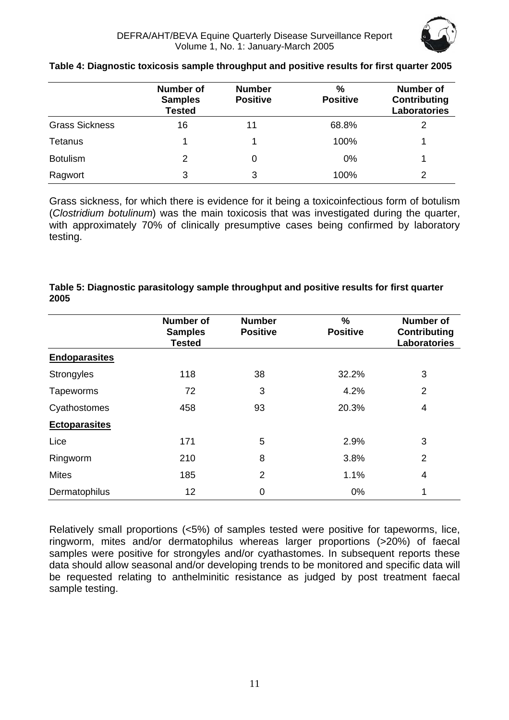|                       | <b>Number of</b><br><b>Samples</b><br><b>Tested</b> | <b>Number</b><br><b>Positive</b> | %<br><b>Positive</b> | <b>Number of</b><br><b>Contributing</b><br>Laboratories |
|-----------------------|-----------------------------------------------------|----------------------------------|----------------------|---------------------------------------------------------|
| <b>Grass Sickness</b> | 16                                                  | 11                               | 68.8%                | 2                                                       |
| <b>Tetanus</b>        |                                                     |                                  | 100%                 |                                                         |
| <b>Botulism</b>       | 2                                                   | 0                                | $0\%$                |                                                         |
| Ragwort               | 3                                                   | 3                                | 100%                 | 2                                                       |

#### **Table 4: Diagnostic toxicosis sample throughput and positive results for first quarter 2005**

Grass sickness, for which there is evidence for it being a toxicoinfectious form of botulism (*Clostridium botulinum*) was the main toxicosis that was investigated during the quarter, with approximately 70% of clinically presumptive cases being confirmed by laboratory testing.

| Table 5: Diagnostic parasitology sample throughput and positive results for first quarter |
|-------------------------------------------------------------------------------------------|
| 2005                                                                                      |

|                      | <b>Number of</b><br><b>Samples</b><br><b>Tested</b> | <b>Number</b><br><b>Positive</b> | %<br><b>Positive</b> | <b>Number of</b><br><b>Contributing</b><br><b>Laboratories</b> |
|----------------------|-----------------------------------------------------|----------------------------------|----------------------|----------------------------------------------------------------|
| <b>Endoparasites</b> |                                                     |                                  |                      |                                                                |
| Strongyles           | 118                                                 | 38                               | 32.2%                | 3                                                              |
| Tapeworms            | 72                                                  | 3                                | 4.2%                 | $\overline{2}$                                                 |
| Cyathostomes         | 458                                                 | 93                               | 20.3%                | 4                                                              |
| <b>Ectoparasites</b> |                                                     |                                  |                      |                                                                |
| Lice                 | 171                                                 | 5                                | 2.9%                 | 3                                                              |
| Ringworm             | 210                                                 | 8                                | 3.8%                 | $\overline{2}$                                                 |
| <b>Mites</b>         | 185                                                 | $\overline{2}$                   | 1.1%                 | 4                                                              |
| Dermatophilus        | 12                                                  | $\mathbf 0$                      | 0%                   | 1                                                              |

Relatively small proportions (<5%) of samples tested were positive for tapeworms, lice, ringworm, mites and/or dermatophilus whereas larger proportions (>20%) of faecal samples were positive for strongyles and/or cyathastomes. In subsequent reports these data should allow seasonal and/or developing trends to be monitored and specific data will be requested relating to anthelminitic resistance as judged by post treatment faecal sample testing.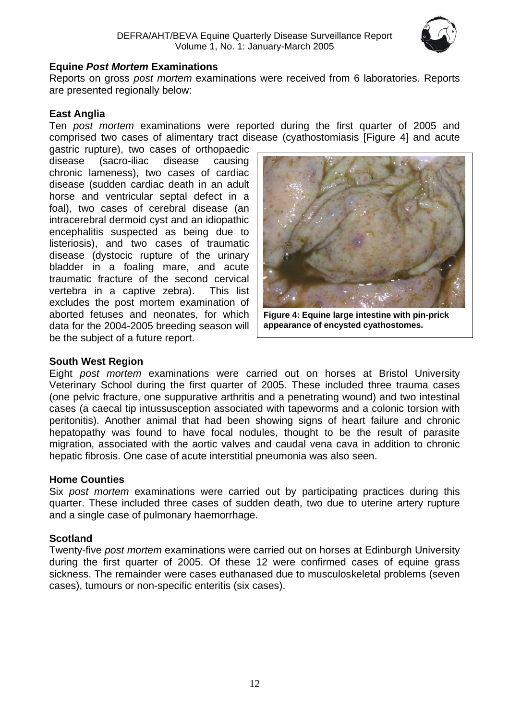

#### <span id="page-11-0"></span>**Equine** *Post Mortem* **Examinations**

Reports on gross *post mortem* examinations were received from 6 laboratories. Reports are presented regionally below:

#### **East Anglia**

Ten *post mortem* examinations were reported during the first quarter of 2005 and comprised two cases of alimentary tract disease (cyathostomiasis [Figure 4] and acute

gastric rupture), two cases of orthopaedic disease (sacro-iliac disease causing chronic lameness), two cases of cardiac disease (sudden cardiac death in an adult horse and ventricular septal defect in a foal), two cases of cerebral disease (an intracerebral dermoid cyst and an idiopathic encephalitis suspected as being due to listeriosis), and two cases of traumatic disease (dystocic rupture of the urinary bladder in a foaling mare, and acute traumatic fracture of the second cervical vertebra in a captive zebra). This list excludes the post mortem examination of aborted fetuses and neonates, for which data for the 2004-2005 breeding season will be the subject of a future report.



**Figure 4: Equine large intestine with pin-prick appearance of encysted cyathostomes.** 

#### **South West Region**

Eight *post mortem* examinations were carried out on horses at Bristol University Veterinary School during the first quarter of 2005. These included three trauma cases (one pelvic fracture, one suppurative arthritis and a penetrating wound) and two intestinal cases (a caecal tip intussusception associated with tapeworms and a colonic torsion with peritonitis). Another animal that had been showing signs of heart failure and chronic hepatopathy was found to have focal nodules, thought to be the result of parasite migration, associated with the aortic valves and caudal vena cava in addition to chronic hepatic fibrosis. One case of acute interstitial pneumonia was also seen.

#### **Home Counties**

Six *post mortem* examinations were carried out by participating practices during this quarter. These included three cases of sudden death, two due to uterine artery rupture and a single case of pulmonary haemorrhage.

#### **Scotland**

Twenty-five *post mortem* examinations were carried out on horses at Edinburgh University during the first quarter of 2005. Of these 12 were confirmed cases of equine grass sickness. The remainder were cases euthanased due to musculoskeletal problems (seven cases), tumours or non-specific enteritis (six cases).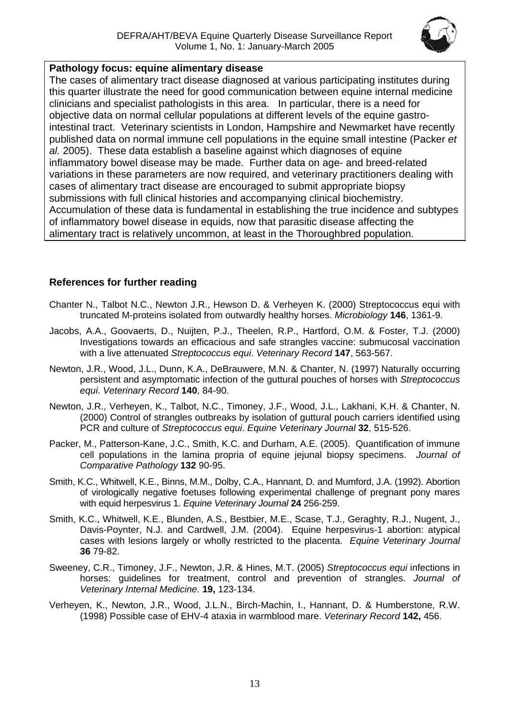

#### <span id="page-12-0"></span>**Pathology focus: equine alimentary disease**

The cases of alimentary tract disease diagnosed at various participating institutes during this quarter illustrate the need for good communication between equine internal medicine clinicians and specialist pathologists in this area. In particular, there is a need for objective data on normal cellular populations at different levels of the equine gastrointestinal tract. Veterinary scientists in London, Hampshire and Newmarket have recently published data on normal immune cell populations in the equine small intestine (Packer *et al.* 2005). These data establish a baseline against which diagnoses of equine inflammatory bowel disease may be made. Further data on age- and breed-related variations in these parameters are now required, and veterinary practitioners dealing with cases of alimentary tract disease are encouraged to submit appropriate biopsy submissions with full clinical histories and accompanying clinical biochemistry. Accumulation of these data is fundamental in establishing the true incidence and subtypes of inflammatory bowel disease in equids, now that parasitic disease affecting the alimentary tract is relatively uncommon, at least in the Thoroughbred population.

#### **References for further reading**

- Chanter N., Talbot N.C., Newton J.R., Hewson D. & Verheyen K. (2000) Streptococcus equi with truncated M-proteins isolated from outwardly healthy horses. *Microbiology* **146**, 1361-9.
- Jacobs, A.A., Goovaerts, D., Nuijten, P.J., Theelen, R.P., Hartford, O.M. & Foster, T.J. (2000) Investigations towards an efficacious and safe strangles vaccine: submucosal vaccination with a live attenuated *Streptococcus equi*. *Veterinary Record* **147**, 563-567.
- Newton, J.R., Wood, J.L., Dunn, K.A., DeBrauwere, M.N. & Chanter, N. (1997) Naturally occurring persistent and asymptomatic infection of the guttural pouches of horses with *Streptococcus equi*. *Veterinary Record* **140**, 84-90.
- Newton, J.R., Verheyen, K., Talbot, N.C., Timoney, J.F., Wood, J.L., Lakhani, K.H. & Chanter, N. (2000) Control of strangles outbreaks by isolation of guttural pouch carriers identified using PCR and culture of *Streptococcus equi*. *Equine Veterinary Journal* **32**, 515-526.
- Packer, M., Patterson-Kane, J.C., Smith, K.C. and Durham, A.E. (2005). Quantification of immune cell populations in the lamina propria of equine jejunal biopsy specimens. *Journal of Comparative Pathology* **132** 90-95.
- Smith, K.C., Whitwell, K.E., Binns, M.M., Dolby, C.A., Hannant, D. and Mumford, J.A. (1992). Abortion of virologically negative foetuses following experimental challenge of pregnant pony mares with equid herpesvirus 1. *Equine Veterinary Journal* **24** 256-259.
- Smith, K.C., Whitwell, K.E., Blunden, A.S., Bestbier, M.E., Scase, T.J., Geraghty, R.J., Nugent, J., Davis-Poynter, N.J. and Cardwell, J.M. (2004). Equine herpesvirus-1 abortion: atypical cases with lesions largely or wholly restricted to the placenta. *Equine Veterinary Journal* **36** 79-82*.*
- Sweeney, C.R., Timoney, J.F., Newton, J.R. & Hines, M.T. (2005) *Streptococcus equi* infections in horses: guidelines for treatment, control and prevention of strangles. *Journal of Veterinary Internal Medicine.* **19,** 123-134.
- Verheyen, K., Newton, J.R., Wood, J.L.N., Birch-Machin, I., Hannant, D. & Humberstone, R.W. (1998) Possible case of EHV-4 ataxia in warmblood mare. *Veterinary Record* **142,** 456.